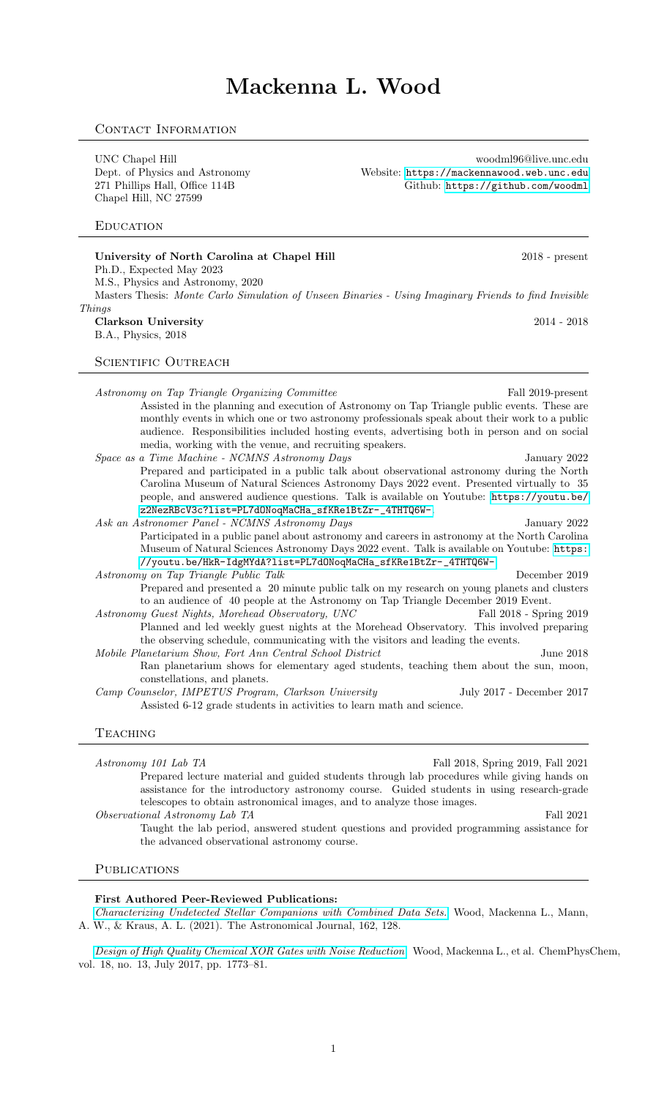# Mackenna L. Wood

# CONTACT INFORMATION

UNC Chapel Hill woodml96@live.unc.edu<br>Dept. of Physics and Astronomy Website: https://mackennawood.web.unc.edu 271 Phillips Hall, Office 114B Github: <https://github.com/woodml> Chapel Hill, NC 27599

## **EDUCATION**

## University of North Carolina at Chapel Hill 2018 - present Ph.D., Expected May 2023 M.S., Physics and Astronomy, 2020 Masters Thesis: Monte Carlo Simulation of Unseen Binaries - Using Imaginary Friends to find Invisible **Thinas** Clarkson University 2014 - 2018

B.A., Physics, 2018

SCIENTIFIC OUTREACH

Astronomy on Tap Triangle Organizing Committee Fall 2019-present Assisted in the planning and execution of Astronomy on Tap Triangle public events. These are monthly events in which one or two astronomy professionals speak about their work to a public audience. Responsibilities included hosting events, advertising both in person and on social media, working with the venue, and recruiting speakers.

Space as a Time Machine - NCMNS Astronomy Days January 2022 Prepared and participated in a public talk about observational astronomy during the North Carolina Museum of Natural Sciences Astronomy Days 2022 event. Presented virtually to 35 people, and answered audience questions. Talk is available on Youtube: [https://youtu.be/](https://youtu.be/z2NezRBcV3c?list=PL7dONoqMaCHa_sfKRe1BtZr-_4THTQ6W-) [z2NezRBcV3c?list=PL7dONoqMaCHa\\_sfKRe1BtZr-\\_4THTQ6W-](https://youtu.be/z2NezRBcV3c?list=PL7dONoqMaCHa_sfKRe1BtZr-_4THTQ6W-).

Ask an Astronomer Panel - NCMNS Astronomy Days January 2022 Participated in a public panel about astronomy and careers in astronomy at the North Carolina Museum of Natural Sciences Astronomy Days 2022 event. Talk is available on Youtube: [https:](https://youtu.be/HkR-IdgMYdA?list=PL7dONoqMaCHa_sfKRe1BtZr-_4THTQ6W-) [//youtu.be/HkR-IdgMYdA?list=PL7dONoqMaCHa\\_sfKRe1BtZr-\\_4THTQ6W-](https://youtu.be/HkR-IdgMYdA?list=PL7dONoqMaCHa_sfKRe1BtZr-_4THTQ6W-).

Astronomy on Tap Triangle Public Talk December 2019 Prepared and presented a 20 minute public talk on my research on young planets and clusters to an audience of 40 people at the Astronomy on Tap Triangle December 2019 Event.

Astronomy Guest Nights, Morehead Observatory, UNC Fall 2018 - Spring 2019 Planned and led weekly guest nights at the Morehead Observatory. This involved preparing the observing schedule, communicating with the visitors and leading the events.

- Mobile Planetarium Show, Fort Ann Central School District June 2018 Ran planetarium shows for elementary aged students, teaching them about the sun, moon, constellations, and planets.
- Camp Counselor, IMPETUS Program, Clarkson University July 2017 December 2017 Assisted 6-12 grade students in activities to learn math and science.

## **TEACHING**

 $Astronomy\ 101\ Lab\ TA$  Fall 2018, Spring 2019, Fall 2021 Prepared lecture material and guided students through lab procedures while giving hands on assistance for the introductory astronomy course. Guided students in using research-grade telescopes to obtain astronomical images, and to analyze those images. Observational Astronomy Lab TA Fall 2021 Taught the lab period, answered student questions and provided programming assistance for

#### **PUBLICATIONS**

#### First Authored Peer-Reviewed Publications:

the advanced observational astronomy course.

[Characterizing Undetected Stellar Companions with Combined Data Sets.](https://doi.org/10.3847/1538-3881/ac0ae9) Wood, Mackenna L., Mann, A. W., & Kraus, A. L. (2021). The Astronomical Journal, 162, 128.

[Design of High Quality Chemical XOR Gates with Noise Reduction](https://doi.org/10.1002/cphc.201700018). Wood, Mackenna L., et al. ChemPhysChem, vol. 18, no. 13, July 2017, pp. 1773–81.

Website: <https://mackennawood.web.unc.edu>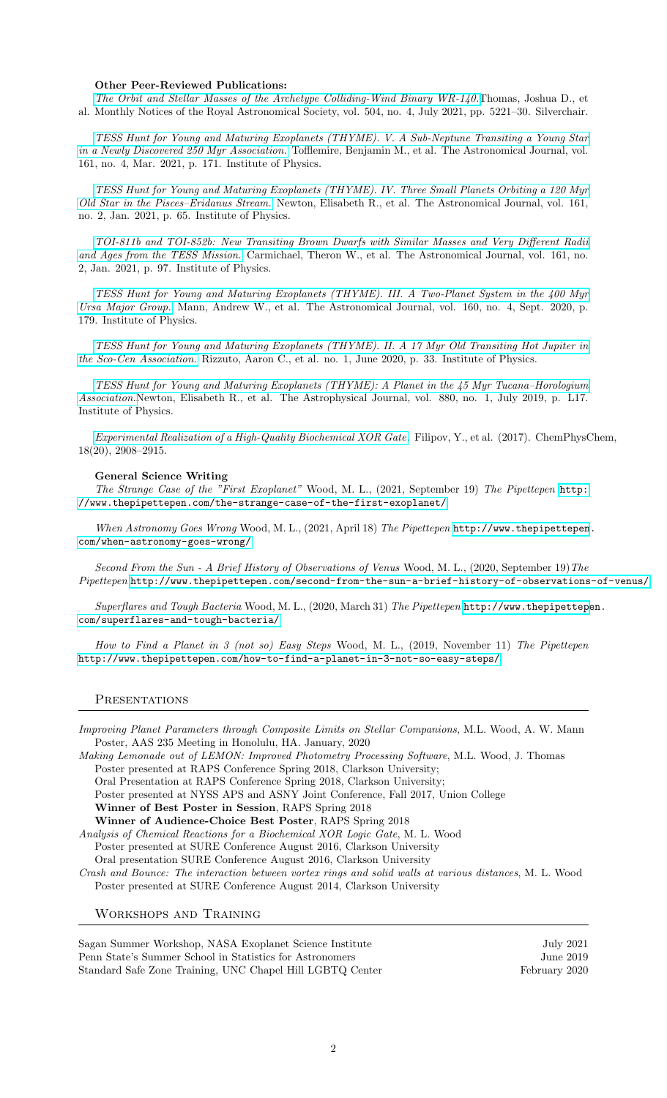#### Other Peer-Reviewed Publications:

[The Orbit and Stellar Masses of the Archetype Colliding-Wind Binary WR-140.](https://doi.org/10.1093/mnras/stab1181)Thomas, Joshua D., et al. Monthly Notices of the Royal Astronomical Society, vol. 504, no. 4, July 2021, pp. 5221–30. Silverchair.

[TESS Hunt for Young and Maturing Exoplanets \(THYME\). V. A Sub-Neptune Transiting a Young Star](https://doi.org/10.3847/1538-3881/abdf53) [in a Newly Discovered 250 Myr Association.](https://doi.org/10.3847/1538-3881/abdf53) Tofflemire, Benjamin M., et al. The Astronomical Journal, vol. 161, no. 4, Mar. 2021, p. 171. Institute of Physics.

[TESS Hunt for Young and Maturing Exoplanets \(THYME\). IV. Three Small Planets Orbiting a 120 Myr](https://doi.org/10.3847/1538-3881/abccc6) [Old Star in the Pisces–Eridanus Stream.](https://doi.org/10.3847/1538-3881/abccc6) Newton, Elisabeth R., et al. The Astronomical Journal, vol. 161, no. 2, Jan. 2021, p. 65. Institute of Physics.

[TOI-811b and TOI-852b: New Transiting Brown Dwarfs with Similar Masses and Very Different Radii](https://doi.org/10.3847/1538-3881/abd4e1) [and Ages from the TESS Mission.](https://doi.org/10.3847/1538-3881/abd4e1) Carmichael, Theron W., et al. The Astronomical Journal, vol. 161, no. 2, Jan. 2021, p. 97. Institute of Physics.

[TESS Hunt for Young and Maturing Exoplanets \(THYME\). III. A Two-Planet System in the 400 Myr](https://doi.org/10.3847/1538-3881/abae64) [Ursa Major Group.](https://doi.org/10.3847/1538-3881/abae64) Mann, Andrew W., et al. The Astronomical Journal, vol. 160, no. 4, Sept. 2020, p. 179. Institute of Physics.

[TESS Hunt for Young and Maturing Exoplanets \(THYME\). II. A 17 Myr Old Transiting Hot Jupiter in](https://doi.org/10.3847/1538-3881/ab94b7) [the Sco-Cen Association.](https://doi.org/10.3847/1538-3881/ab94b7) Rizzuto, Aaron C., et al. no. 1, June 2020, p. 33. Institute of Physics.

[TESS Hunt for Young and Maturing Exoplanets \(THYME\): A Planet in the 45 Myr Tucana–Horologium](https://doi.org/10.3847/2041-8213/ab2988) [Association.](https://doi.org/10.3847/2041-8213/ab2988)Newton, Elisabeth R., et al. The Astrophysical Journal, vol. 880, no. 1, July 2019, p. L17. Institute of Physics.

[Experimental Realization of a High-Quality Biochemical XOR Gate](https://doi.org/10.1002/cphc.201700705). Filipov, Y., et al. (2017). ChemPhysChem, 18(20), 2908–2915.

#### General Science Writing

The Strange Case of the "First Exoplanet" Wood, M. L., (2021, September 19) The Pipettepen [http:](http://www.thepipettepen.com/the-strange-case-of-the-first-exoplanet/) [//www.thepipettepen.com/the-strange-case-of-the-first-exoplanet/](http://www.thepipettepen.com/the-strange-case-of-the-first-exoplanet/)

When Astronomy Goes Wrong Wood, M. L., (2021, April 18) The Pipettepen [http://www.thepipettepen](http://www.thepipettepen.com/when-astronomy-goes-wrong/). [com/when-astronomy-goes-wrong/](http://www.thepipettepen.com/when-astronomy-goes-wrong/)

Second From the Sun - A Brief History of Observations of Venus Wood, M. L., (2020, September 19) The Pipettepen <http://www.thepipettepen.com/second-from-the-sun-a-brief-history-of-observations-of-venus/>

Superflares and Tough Bacteria Wood, M. L., (2020, March 31) The Pipettepen [http://www.thepipettepe](http://www.thepipettepen.com/superflares-and-tough-bacteria/)n. [com/superflares-and-tough-bacteria/](http://www.thepipettepen.com/superflares-and-tough-bacteria/)

How to Find a Planet in 3 (not so) Easy Steps Wood, M. L., (2019, November 11) The Pipettepen <http://www.thepipettepen.com/how-to-find-a-planet-in-3-not-so-easy-steps/>

#### **PRESENTATIONS**

Improving Planet Parameters through Composite Limits on Stellar Companions, M.L. Wood, A. W. Mann Poster, AAS 235 Meeting in Honolulu, HA. January, 2020

Making Lemonade out of LEMON: Improved Photometry Processing Software, M.L. Wood, J. Thomas Poster presented at RAPS Conference Spring 2018, Clarkson University;

Oral Presentation at RAPS Conference Spring 2018, Clarkson University;

Poster presented at NYSS APS and ASNY Joint Conference, Fall 2017, Union College

Winner of Best Poster in Session, RAPS Spring 2018

Winner of Audience-Choice Best Poster, RAPS Spring 2018

Analysis of Chemical Reactions for a Biochemical XOR Logic Gate, M. L. Wood

Poster presented at SURE Conference August 2016, Clarkson University

Oral presentation SURE Conference August 2016, Clarkson University

Crash and Bounce: The interaction between vortex rings and solid walls at various distances, M. L. Wood Poster presented at SURE Conference August 2014, Clarkson University

Workshops and Training

Sagan Summer Workshop, NASA Exoplanet Science Institute July 2021 Penn State's Summer School in Statistics for Astronomers June 2019 Standard Safe Zone Training, UNC Chapel Hill LGBTQ Center February 2020